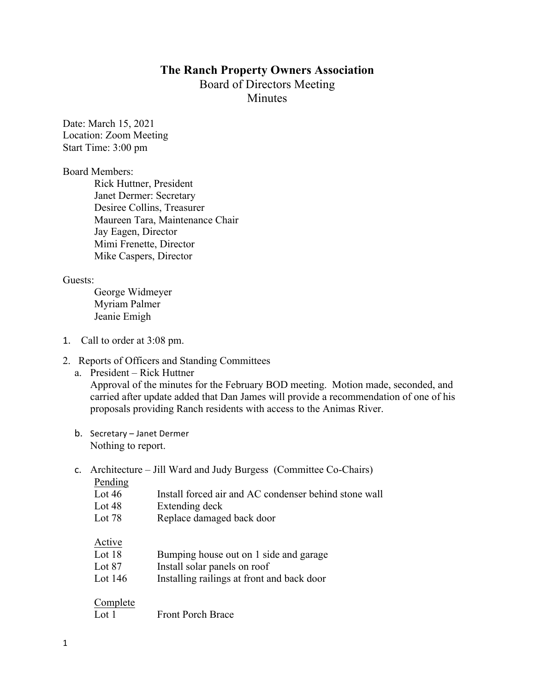## **The Ranch Property Owners Association** Board of Directors Meeting

**Minutes** 

Date: March 15, 2021 Location: Zoom Meeting Start Time: 3:00 pm

Board Members:

Rick Huttner, President Janet Dermer: Secretary Desiree Collins, Treasurer Maureen Tara, Maintenance Chair Jay Eagen, Director Mimi Frenette, Director Mike Caspers, Director

Guests:

George Widmeyer Myriam Palmer Jeanie Emigh

- 1. Call to order at 3:08 pm.
- 2. Reports of Officers and Standing Committees
	- a. President Rick Huttner Approval of the minutes for the February BOD meeting. Motion made, seconded, and carried after update added that Dan James will provide a recommendation of one of his proposals providing Ranch residents with access to the Animas River.
	- b. Secretary Janet Dermer Nothing to report.
	- c. Architecture Jill Ward and Judy Burgess (Committee Co-Chairs)

| Pending   |                                                       |
|-----------|-------------------------------------------------------|
| Lot $46$  | Install forced air and AC condenser behind stone wall |
| Lot $48$  | Extending deck                                        |
| Lot $78$  | Replace damaged back door                             |
| Active    |                                                       |
| Lot $18$  | Bumping house out on 1 side and garage                |
| Lot $87$  | Install solar panels on roof                          |
| Lot $146$ | Installing railings at front and back door            |
| Complete  |                                                       |
| Lot 1     | <b>Front Porch Brace</b>                              |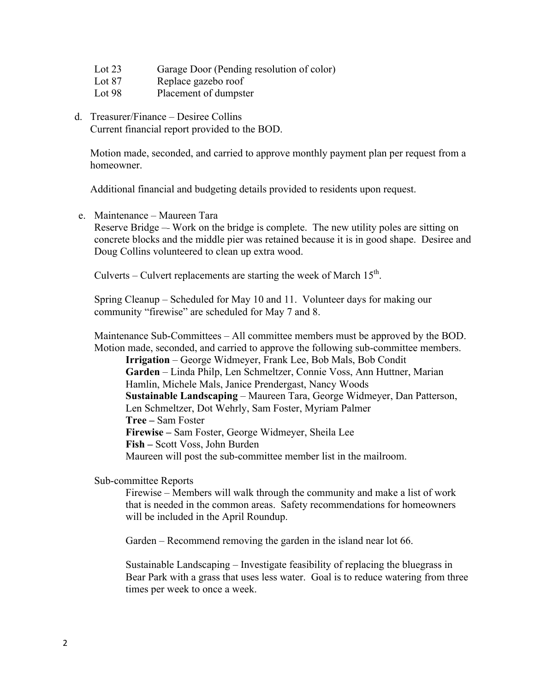- Lot 23 Garage Door (Pending resolution of color)
- Lot 87 Replace gazebo roof
- Lot 98 Placement of dumpster
- d. Treasurer/Finance Desiree Collins Current financial report provided to the BOD.

Motion made, seconded, and carried to approve monthly payment plan per request from a homeowner.

Additional financial and budgeting details provided to residents upon request.

e. Maintenance – Maureen Tara

Reserve Bridge – Work on the bridge is complete. The new utility poles are sitting on concrete blocks and the middle pier was retained because it is in good shape. Desiree and Doug Collins volunteered to clean up extra wood.

Culverts – Culvert replacements are starting the week of March  $15^{th}$ .

Spring Cleanup – Scheduled for May 10 and 11. Volunteer days for making our community "firewise" are scheduled for May 7 and 8.

Maintenance Sub-Committees – All committee members must be approved by the BOD. Motion made, seconded, and carried to approve the following sub-committee members.

**Irrigation** – George Widmeyer, Frank Lee, Bob Mals, Bob Condit **Garden** – Linda Philp, Len Schmeltzer, Connie Voss, Ann Huttner, Marian Hamlin, Michele Mals, Janice Prendergast, Nancy Woods **Sustainable Landscaping** – Maureen Tara, George Widmeyer, Dan Patterson, Len Schmeltzer, Dot Wehrly, Sam Foster, Myriam Palmer **Tree –** Sam Foster **Firewise –** Sam Foster, George Widmeyer, Sheila Lee **Fish –** Scott Voss, John Burden Maureen will post the sub-committee member list in the mailroom.

Sub-committee Reports

Firewise – Members will walk through the community and make a list of work that is needed in the common areas. Safety recommendations for homeowners will be included in the April Roundup.

Garden – Recommend removing the garden in the island near lot 66.

Sustainable Landscaping – Investigate feasibility of replacing the bluegrass in Bear Park with a grass that uses less water. Goal is to reduce watering from three times per week to once a week.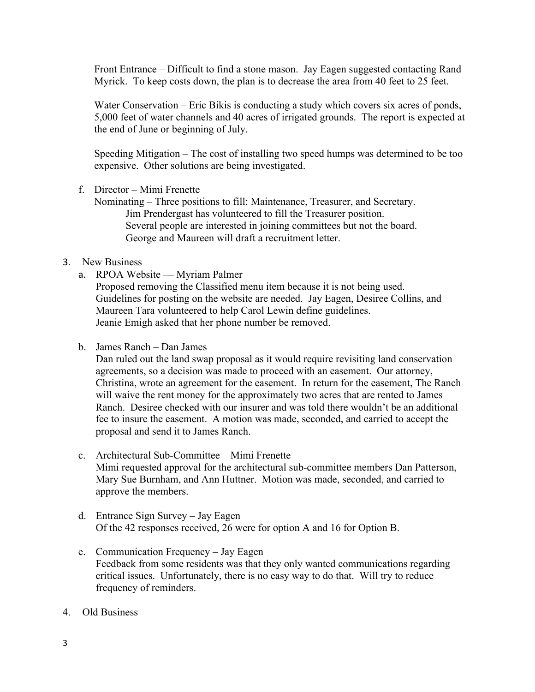Front Entrance – Difficult to find a stone mason. Jay Eagen suggested contacting Rand Myrick. To keep costs down, the plan is to decrease the area from 40 feet to 25 feet.

Water Conservation – Eric Bikis is conducting a study which covers six acres of ponds, 5,000 feet of water channels and 40 acres of irrigated grounds. The report is expected at the end of June or beginning of July.

Speeding Mitigation – The cost of installing two speed humps was determined to be too expensive. Other solutions are being investigated.

f. Director – Mimi Frenette

Nominating – Three positions to fill: Maintenance, Treasurer, and Secretary. Jim Prendergast has volunteered to fill the Treasurer position. Several people are interested in joining committees but not the board. George and Maureen will draft a recruitment letter.

## 3. New Business

a. RPOA Website – Myriam Palmer

Proposed removing the Classified menu item because it is not being used. Guidelines for posting on the website are needed. Jay Eagen, Desiree Collins, and Maureen Tara volunteered to help Carol Lewin define guidelines. Jeanie Emigh asked that her phone number be removed.

b. James Ranch – Dan James

Dan ruled out the land swap proposal as it would require revisiting land conservation agreements, so a decision was made to proceed with an easement. Our attorney, Christina, wrote an agreement for the easement. In return for the easement, The Ranch will waive the rent money for the approximately two acres that are rented to James Ranch. Desiree checked with our insurer and was told there wouldn't be an additional fee to insure the easement. A motion was made, seconded, and carried to accept the proposal and send it to James Ranch.

- c. Architectural Sub-Committee Mimi Frenette Mimi requested approval for the architectural sub-committee members Dan Patterson, Mary Sue Burnham, and Ann Huttner. Motion was made, seconded, and carried to approve the members.
- d. Entrance Sign Survey Jay Eagen Of the 42 responses received, 26 were for option A and 16 for Option B.
- e. Communication Frequency Jay Eagen Feedback from some residents was that they only wanted communications regarding critical issues. Unfortunately, there is no easy way to do that. Will try to reduce frequency of reminders.
- 4. Old Business